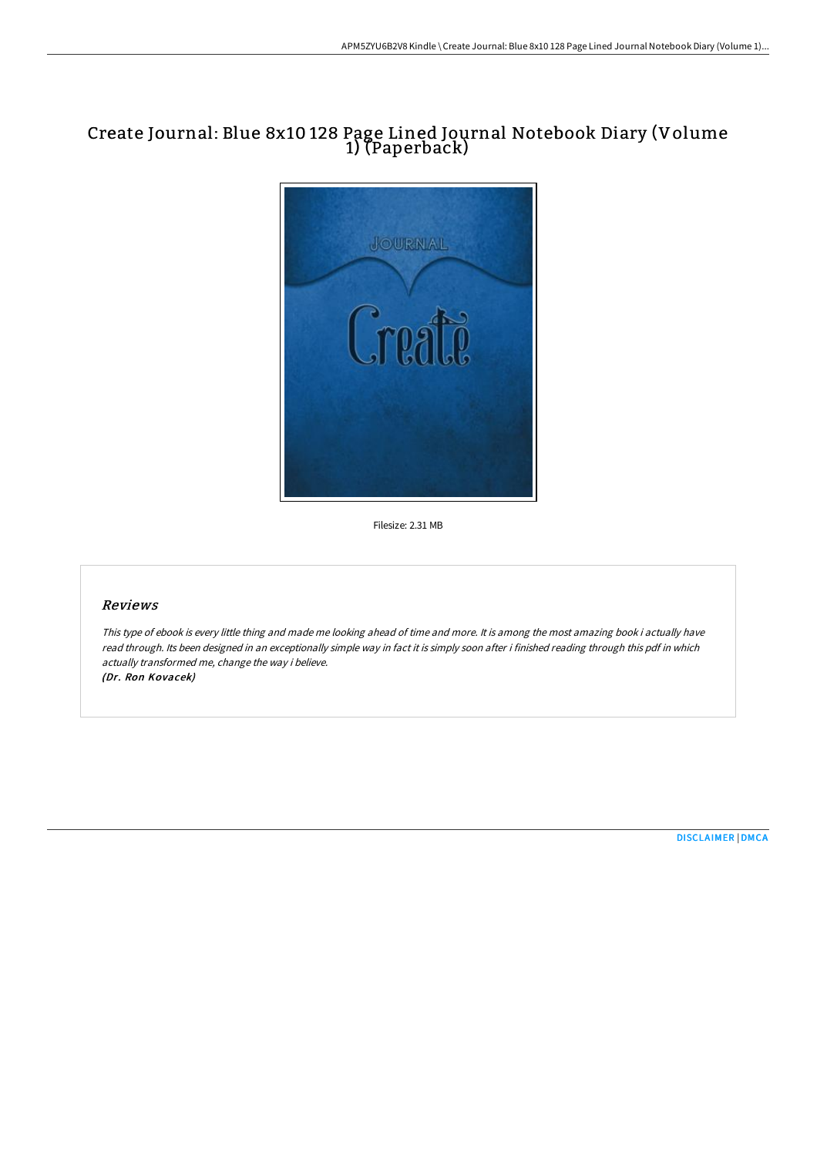## Create Journal: Blue 8x10 128 Page Lined Journal Notebook Diary (Volume 1) (Paperback)



Filesize: 2.31 MB

## Reviews

This type of ebook is every little thing and made me looking ahead of time and more. It is among the most amazing book i actually have read through. Its been designed in an exceptionally simple way in fact it is simply soon after i finished reading through this pdf in which actually transformed me, change the way i believe. (Dr. Ron Kovacek)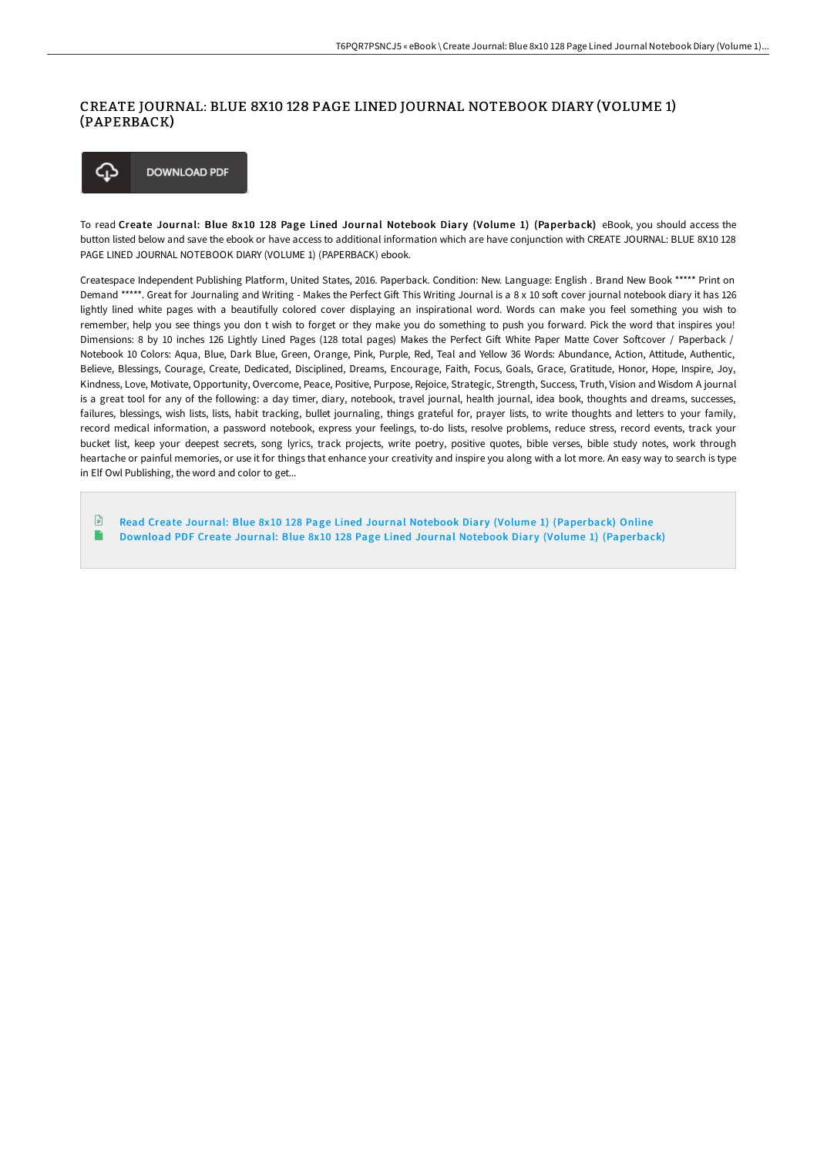## CREATE JOURNAL: BLUE 8X10 128 PAGE LINED JOURNAL NOTEBOOK DIARY (VOLUME 1) (PAPERBACK)



To read Create Journal: Blue 8x10 128 Page Lined Journal Notebook Diary (Volume 1) (Paperback) eBook, you should access the button listed below and save the ebook or have access to additional information which are have conjunction with CREATE JOURNAL: BLUE 8X10 128 PAGE LINED JOURNAL NOTEBOOK DIARY (VOLUME 1) (PAPERBACK) ebook.

Createspace Independent Publishing Platform, United States, 2016. Paperback. Condition: New. Language: English . Brand New Book \*\*\*\*\* Print on Demand \*\*\*\*\*. Great for Journaling and Writing - Makes the Perfect Gift This Writing Journal is a 8 x 10 soft cover journal notebook diary it has 126 lightly lined white pages with a beautifully colored cover displaying an inspirational word. Words can make you feel something you wish to remember, help you see things you don t wish to forget or they make you do something to push you forward. Pick the word that inspires you! Dimensions: 8 by 10 inches 126 Lightly Lined Pages (128 total pages) Makes the Perfect Gift White Paper Matte Cover Softcover / Paperback / Notebook 10 Colors: Aqua, Blue, Dark Blue, Green, Orange, Pink, Purple, Red, Teal and Yellow 36 Words: Abundance, Action, Attitude, Authentic, Believe, Blessings, Courage, Create, Dedicated, Disciplined, Dreams, Encourage, Faith, Focus, Goals, Grace, Gratitude, Honor, Hope, Inspire, Joy, Kindness, Love, Motivate, Opportunity, Overcome, Peace, Positive, Purpose, Rejoice, Strategic, Strength, Success, Truth, Vision and Wisdom A journal is a great tool for any of the following: a day timer, diary, notebook, travel journal, health journal, idea book, thoughts and dreams, successes, failures, blessings, wish lists, lists, habit tracking, bullet journaling, things grateful for, prayer lists, to write thoughts and letters to your family, record medical information, a password notebook, express your feelings, to-do lists, resolve problems, reduce stress, record events, track your bucket list, keep your deepest secrets, song lyrics, track projects, write poetry, positive quotes, bible verses, bible study notes, work through heartache or painful memories, or use it for things that enhance your creativity and inspire you along with a lot more. An easy way to search is type in Elf Owl Publishing, the word and color to get...

 $\mathbb{R}$ Read Create Journal: Blue 8x10 128 Page Lined Journal Notebook Diary (Volume 1) [\(Paperback\)](http://www.bookdirs.com/create-journal-blue-8x10-128-page-lined-journal-.html) Online  $\blacksquare$ Download PDF Create Journal: Blue 8x10 128 Page Lined Journal Notebook Diary (Volume 1) [\(Paperback\)](http://www.bookdirs.com/create-journal-blue-8x10-128-page-lined-journal-.html)